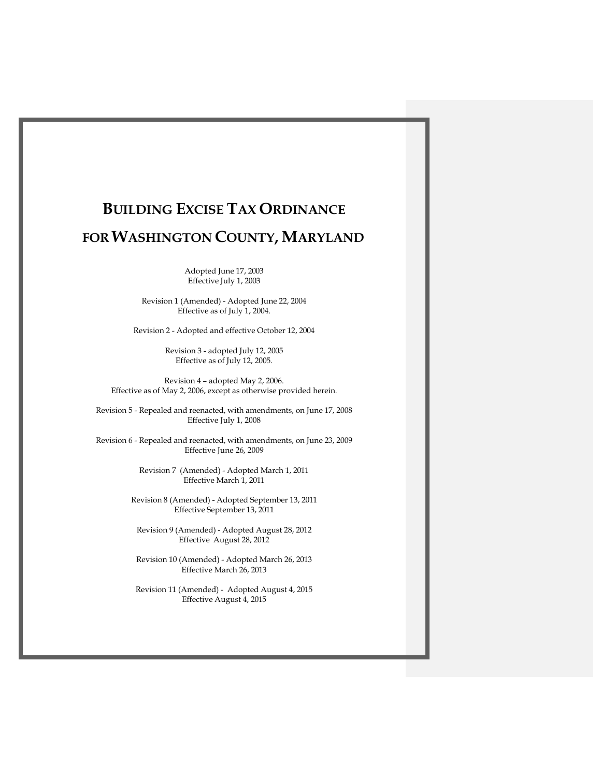Adopted June 17, 2003 Effective July 1, 2003

Revision 1 (Amended) - Adopted June 22, 2004 Effective as of July 1, 2004.

Revision 2 - Adopted and effective October 12, 2004

Revision 3 - adopted July 12, 2005 Effective as of July 12, 2005.

Revision 4 – adopted May 2, 2006. Effective as of May 2, 2006, except as otherwise provided herein.

Revision 5 - Repealed and reenacted, with amendments, on June 17, 2008 Effective July 1, 2008

Revision 6 - Repealed and reenacted, with amendments, on June 23, 2009 Effective June 26, 2009

> Revision 7 (Amended) - Adopted March 1, 2011 Effective March 1, 2011

Revision 8 (Amended) - Adopted September 13, 2011 Effective September 13, 2011

Revision 9 (Amended) - Adopted August 28, 2012 Effective August 28, 2012

Revision 10 (Amended) - Adopted March 26, 2013 Effective March 26, 2013

Revision 11 (Amended) - Adopted August 4, 2015 Effective August 4, 2015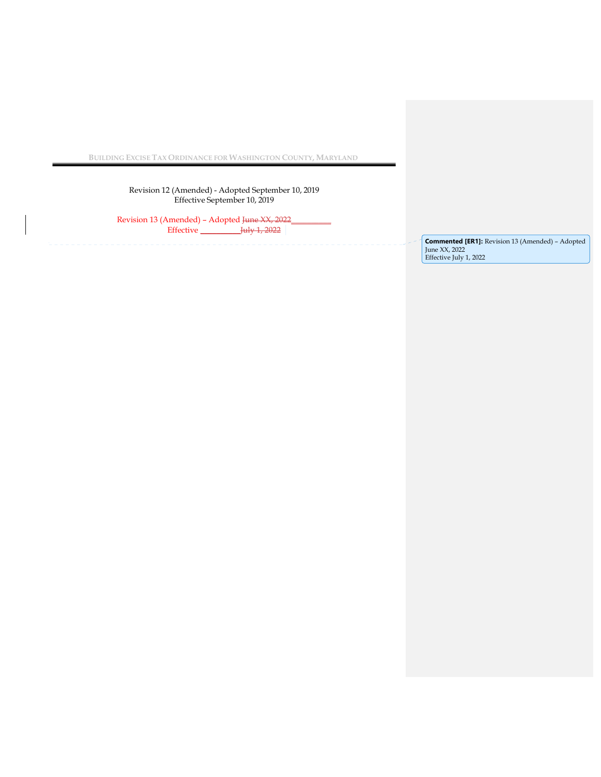Revision 12 (Amended) - Adopted September 10, 2019 Effective September 10, 2019

Revision 13 (Amended) – Adopted <del>June XX, 2022</del> Effective \_\_\_\_\_\_\_\_\_\_July 1, 2022

**Commented [ER1]:** Revision 13 (Amended) – Adopted June XX, 2022 Effective July 1, 2022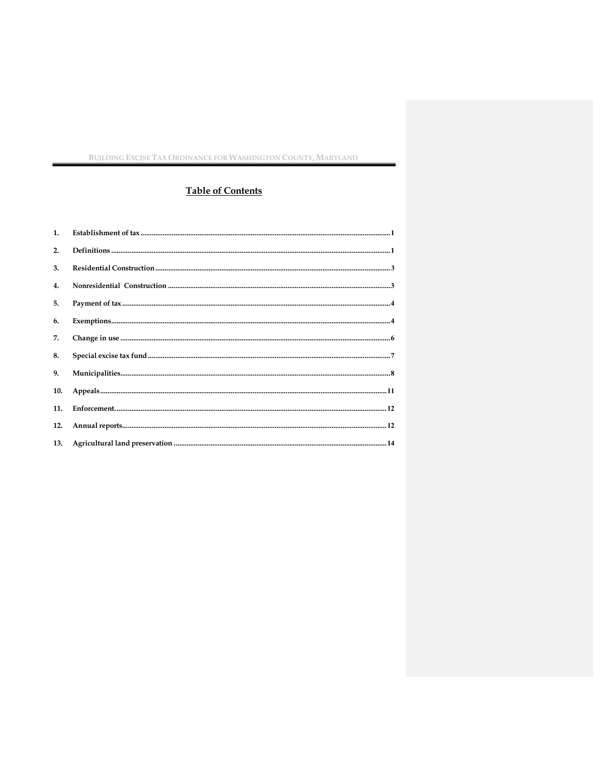# **Table of Contents**

| 1 <sub>1</sub> |                                                                                                                                                                                                                                                                                                                                                                                                 |
|----------------|-------------------------------------------------------------------------------------------------------------------------------------------------------------------------------------------------------------------------------------------------------------------------------------------------------------------------------------------------------------------------------------------------|
| 2.             | $\label{eq:3} \textbf{Definitions} \textit{} \textit{} \textit{} \textit{} \textit{} \textit{} \textit{} \textit{} \textit{} \textit{} \textit{} \textit{} \textit{} \textit{} \textit{} \textit{} \textit{} \textit{} \textit{} \textit{} \textit{} \textit{} \textit{} \textit{} \textit{} \textit{} \textit{} \textit{} \textit{} \textit{} \textit{} \textit{} \textit{} \textit{} \textit$ |
| 3.             |                                                                                                                                                                                                                                                                                                                                                                                                 |
| $\mathbf{4}$   |                                                                                                                                                                                                                                                                                                                                                                                                 |
| 5.             |                                                                                                                                                                                                                                                                                                                                                                                                 |
| 6.             |                                                                                                                                                                                                                                                                                                                                                                                                 |
| 7.             | $\label{prop:main} \textbf{Change in use} \textit{} \textit{} \textit{} \textit{} \textit{} \textit{} \textit{} \textit{} \textit{} \textit{} \textit{} \textit{} \textit{} \textit{} \textit{} \textit{} \textit{} \textit{} \textit{} \textit{} \textit{}$                                                                                                                                    |
| 8.             |                                                                                                                                                                                                                                                                                                                                                                                                 |
| 9.             |                                                                                                                                                                                                                                                                                                                                                                                                 |
| 10.            |                                                                                                                                                                                                                                                                                                                                                                                                 |
| 11.            |                                                                                                                                                                                                                                                                                                                                                                                                 |
| 12.            |                                                                                                                                                                                                                                                                                                                                                                                                 |
| 13.            |                                                                                                                                                                                                                                                                                                                                                                                                 |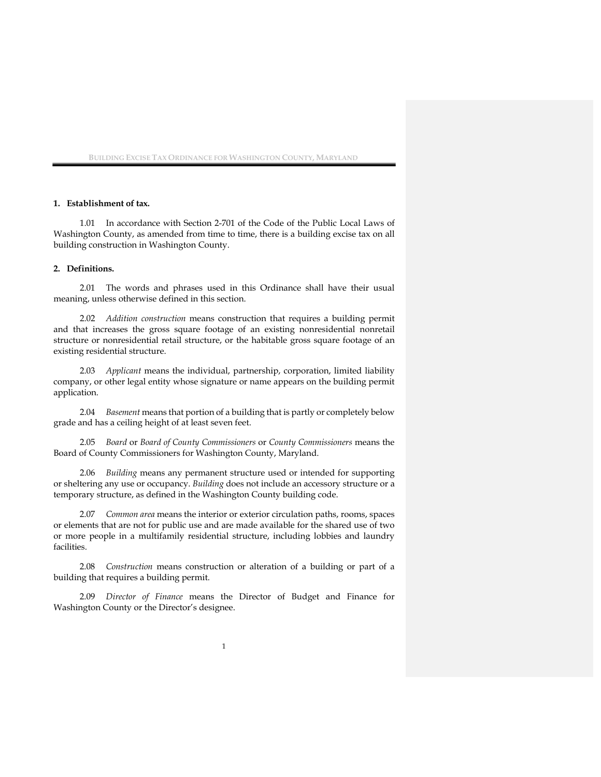#### **1. Establishment of tax.**

1.01 In accordance with Section 2-701 of the Code of the Public Local Laws of Washington County, as amended from time to time, there is a building excise tax on all building construction in Washington County.

#### **2. Definitions.**

2.01 The words and phrases used in this Ordinance shall have their usual meaning, unless otherwise defined in this section.

2.02 *Addition construction* means construction that requires a building permit and that increases the gross square footage of an existing nonresidential nonretail structure or nonresidential retail structure, or the habitable gross square footage of an existing residential structure.

2.03 *Applicant* means the individual, partnership, corporation, limited liability company, or other legal entity whose signature or name appears on the building permit application.

2.04 *Basement* means that portion of a building that is partly or completely below grade and has a ceiling height of at least seven feet.

2.05 *Board* or *Board of County Commissioners* or *County Commissioners* means the Board of County Commissioners for Washington County, Maryland.

2.06 *Building* means any permanent structure used or intended for supporting or sheltering any use or occupancy. *Building* does not include an accessory structure or a temporary structure, as defined in the Washington County building code.

2.07 *Common area* means the interior or exterior circulation paths, rooms, spaces or elements that are not for public use and are made available for the shared use of two or more people in a multifamily residential structure, including lobbies and laundry facilities.

2.08 *Construction* means construction or alteration of a building or part of a building that requires a building permit.

2.09 *Director of Finance* means the Director of Budget and Finance for Washington County or the Director's designee.

1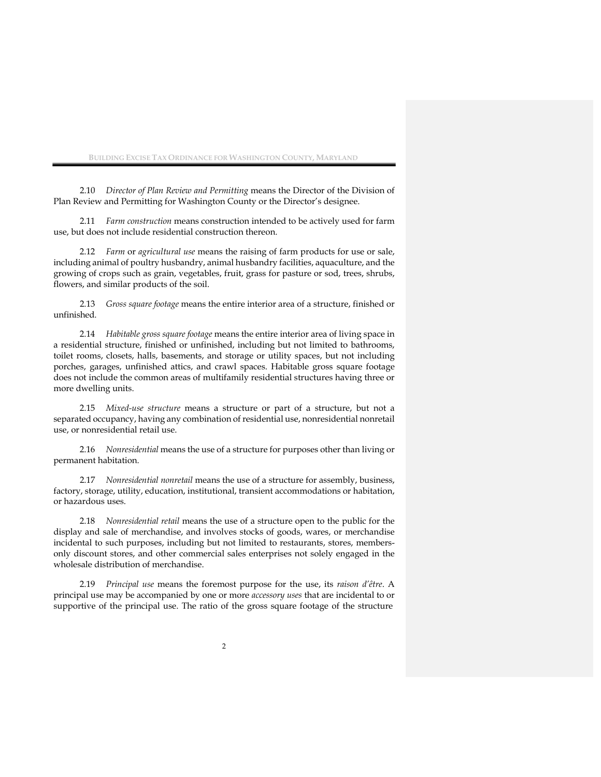2.10 *Director of Plan Review and Permitting* means the Director of the Division of Plan Review and Permitting for Washington County or the Director's designee.

2.11 *Farm construction* means construction intended to be actively used for farm use, but does not include residential construction thereon.

2.12 *Farm* or *agricultural use* means the raising of farm products for use or sale, including animal of poultry husbandry, animal husbandry facilities, aquaculture, and the growing of crops such as grain, vegetables, fruit, grass for pasture or sod, trees, shrubs, flowers, and similar products of the soil.

2.13 *Gross square footage* means the entire interior area of a structure, finished or unfinished.

2.14 *Habitable gross square footage* means the entire interior area of living space in a residential structure, finished or unfinished, including but not limited to bathrooms, toilet rooms, closets, halls, basements, and storage or utility spaces, but not including porches, garages, unfinished attics, and crawl spaces. Habitable gross square footage does not include the common areas of multifamily residential structures having three or more dwelling units.

2.15 *Mixed-use structure* means a structure or part of a structure, but not a separated occupancy, having any combination of residential use, nonresidential nonretail use, or nonresidential retail use.

2.16 *Nonresidential* means the use of a structure for purposes other than living or permanent habitation.

2.17 *Nonresidential nonretail* means the use of a structure for assembly, business, factory, storage, utility, education, institutional, transient accommodations or habitation, or hazardous uses.

2.18 *Nonresidential retail* means the use of a structure open to the public for the display and sale of merchandise, and involves stocks of goods, wares, or merchandise incidental to such purposes, including but not limited to restaurants, stores, membersonly discount stores, and other commercial sales enterprises not solely engaged in the wholesale distribution of merchandise.

2.19 *Principal use* means the foremost purpose for the use, its *raison d'être*. A principal use may be accompanied by one or more *accessory uses* that are incidental to or supportive of the principal use. The ratio of the gross square footage of the structure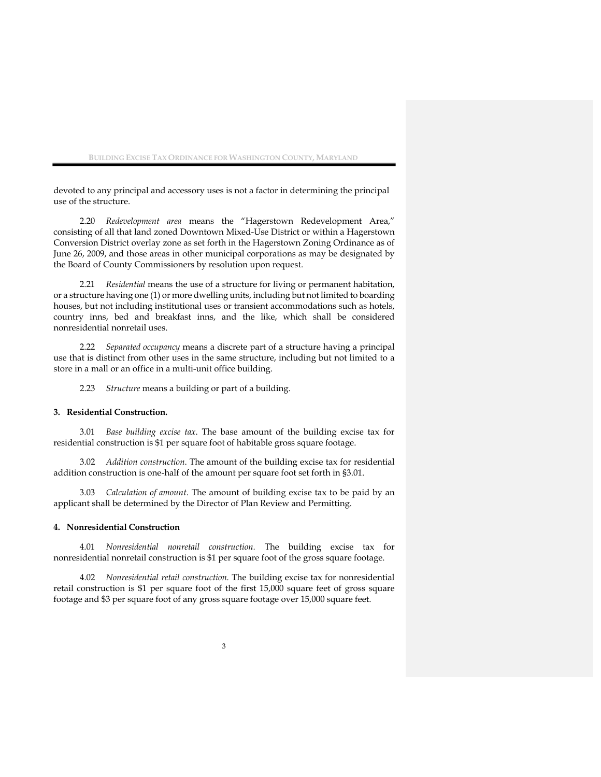devoted to any principal and accessory uses is not a factor in determining the principal use of the structure.

2.20 *Redevelopment area* means the "Hagerstown Redevelopment Area," consisting of all that land zoned Downtown Mixed-Use District or within a Hagerstown Conversion District overlay zone as set forth in the Hagerstown Zoning Ordinance as of June 26, 2009, and those areas in other municipal corporations as may be designated by the Board of County Commissioners by resolution upon request.

2.21 *Residential* means the use of a structure for living or permanent habitation, or a structure having one (1) or more dwelling units, including but not limited to boarding houses, but not including institutional uses or transient accommodations such as hotels, country inns, bed and breakfast inns, and the like, which shall be considered nonresidential nonretail uses.

2.22 *Separated occupancy* means a discrete part of a structure having a principal use that is distinct from other uses in the same structure, including but not limited to a store in a mall or an office in a multi-unit office building.

2.23 *Structure* means a building or part of a building.

#### **3. Residential Construction.**

3.01 *Base building excise tax*. The base amount of the building excise tax for residential construction is \$1 per square foot of habitable gross square footage.

3.02 *Addition construction*. The amount of the building excise tax for residential addition construction is one-half of the amount per square foot set forth in §3.01.

3.03 *Calculation of amount*. The amount of building excise tax to be paid by an applicant shall be determined by the Director of Plan Review and Permitting.

#### **4. Nonresidential Construction**

4.01 *Nonresidential nonretail construction.* The building excise tax for nonresidential nonretail construction is \$1 per square foot of the gross square footage.

4.02 *Nonresidential retail construction.* The building excise tax for nonresidential retail construction is \$1 per square foot of the first 15,000 square feet of gross square footage and \$3 per square foot of any gross square footage over 15,000 square feet.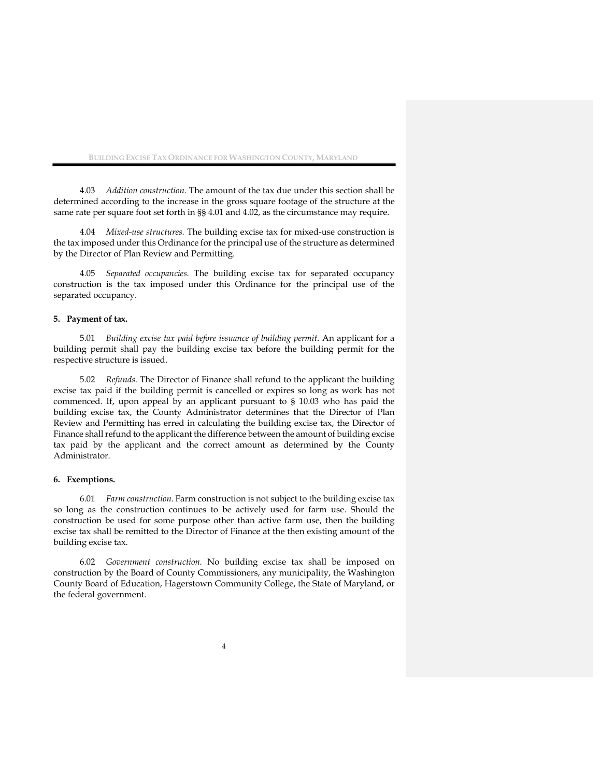4.03 *Addition construction.* The amount of the tax due under this section shall be determined according to the increase in the gross square footage of the structure at the same rate per square foot set forth in §§ 4.01 and 4.02, as the circumstance may require.

4.04 *Mixed-use structures.* The building excise tax for mixed-use construction is the tax imposed under this Ordinance for the principal use of the structure as determined by the Director of Plan Review and Permitting.

4.05 *Separated occupancies.* The building excise tax for separated occupancy construction is the tax imposed under this Ordinance for the principal use of the separated occupancy.

#### **5. Payment of tax.**

5.01 *Building excise tax paid before issuance of building permit*. An applicant for a building permit shall pay the building excise tax before the building permit for the respective structure is issued.

5.02 *Refunds*. The Director of Finance shall refund to the applicant the building excise tax paid if the building permit is cancelled or expires so long as work has not commenced. If, upon appeal by an applicant pursuant to § 10.03 who has paid the building excise tax, the County Administrator determines that the Director of Plan Review and Permitting has erred in calculating the building excise tax, the Director of Finance shall refund to the applicant the difference between the amount of building excise tax paid by the applicant and the correct amount as determined by the County Administrator.

## **6. Exemptions.**

6.01 *Farm construction*. Farm construction is not subject to the building excise tax so long as the construction continues to be actively used for farm use. Should the construction be used for some purpose other than active farm use, then the building excise tax shall be remitted to the Director of Finance at the then existing amount of the building excise tax.

6.02 *Government construction.* No building excise tax shall be imposed on construction by the Board of County Commissioners, any municipality, the Washington County Board of Education, Hagerstown Community College, the State of Maryland, or the federal government.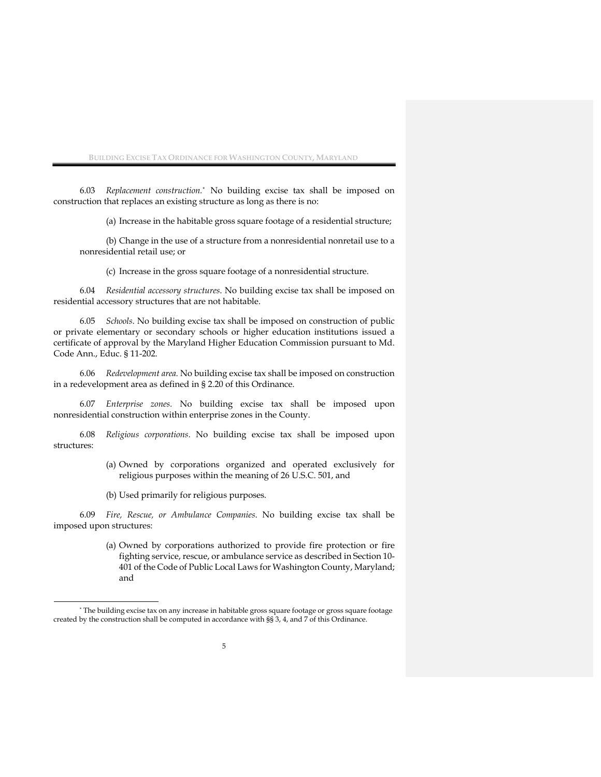6.03 *Replacement construction.\** No building excise tax shall be imposed on construction that replaces an existing structure as long as there is no:

(a) Increase in the habitable gross square footage of a residential structure;

(b) Change in the use of a structure from a nonresidential nonretail use to a nonresidential retail use; or

(c) Increase in the gross square footage of a nonresidential structure.

6.04 *Residential accessory structures*. No building excise tax shall be imposed on residential accessory structures that are not habitable.

6.05 *Schools*. No building excise tax shall be imposed on construction of public or private elementary or secondary schools or higher education institutions issued a certificate of approval by the Maryland Higher Education Commission pursuant to Md. Code Ann., Educ. § 11-202.

6.06 *Redevelopment area.* No building excise tax shall be imposed on construction in a redevelopment area as defined in § 2.20 of this Ordinance.

6.07 *Enterprise zones.* No building excise tax shall be imposed upon nonresidential construction within enterprise zones in the County.

6.08 *Religious corporations*. No building excise tax shall be imposed upon structures:

- (a) Owned by corporations organized and operated exclusively for religious purposes within the meaning of 26 U.S.C. 501, and
- (b) Used primarily for religious purposes.

6.09 *Fire, Rescue, or Ambulance Companies*. No building excise tax shall be imposed upon structures:

> (a) Owned by corporations authorized to provide fire protection or fire fighting service, rescue, or ambulance service as described in Section 10- 401 of the Code of Public Local Laws for Washington County, Maryland; and

<sup>\*</sup> The building excise tax on any increase in habitable gross square footage or gross square footage created by the construction shall be computed in accordance with §§ 3, 4, and 7 of this Ordinance.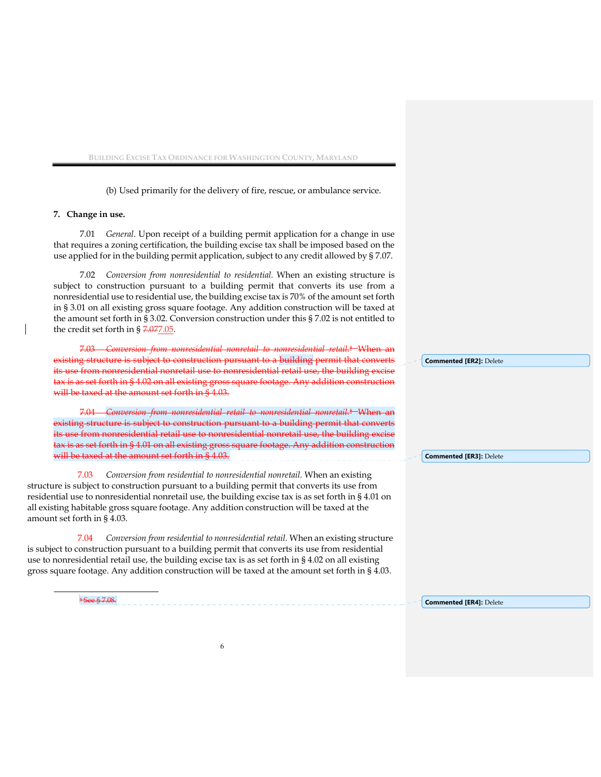(b) Used primarily for the delivery of fire, rescue, or ambulance service.

#### **7. Change in use.**

7.01 *General*. Upon receipt of a building permit application for a change in use that requires a zoning certification, the building excise tax shall be imposed based on the use applied for in the building permit application, subject to any credit allowed by § 7.07.

7.02 *Conversion from nonresidential to residential.* When an existing structure is subject to construction pursuant to a building permit that converts its use from a nonresidential use to residential use, the building excise tax is 70% of the amount set forth in § 3.01 on all existing gross square footage. Any addition construction will be taxed at the amount set forth in § 3.02. Conversion construction under this § 7.02 is not entitled to the credit set forth in § 7.077.05.

7.03 *Conversion from nonresidential nonretail to nonresidential retail*.† When an ting structure is subject to construction pursuant to a building permit that converts its use from nonresidential nonretail use to nonresidential retail use, the building exc tax is as set forth in § 4.02 on all existing gross square footage. Any addition construction will be taxed at the amount set forth in § 4.03.

7.04 *Conversion from nonresidential retail to nonresidential nonretail.*† When an existing structure is subject to construction pursuant to a building permit that converts its use from nonresidential retail use to nonresidential nonretail use, the building excise tax is as set forth in § 4.01 on all existing gross square footage. Any addition construction will be taxed at the amount set forth in § 4.03.

7.03 *Conversion from residential to nonresidential nonretail.* When an existing structure is subject to construction pursuant to a building permit that converts its use from residential use to nonresidential nonretail use, the building excise tax is as set forth in § 4.01 on all existing habitable gross square footage. Any addition construction will be taxed at the amount set forth in § 4.03.

 7.04 *Conversion from residential to nonresidential retail.* When an existing structure is subject to construction pursuant to a building permit that converts its use from residential use to nonresidential retail use, the building excise tax is as set forth in § 4.02 on all existing gross square footage. Any addition construction will be taxed at the amount set forth in § 4.03.

> † See § 7.08. **Commented [ER4]:** Delete

**Commented [ER2]:** Delete

**Commented [ER3]:** Delete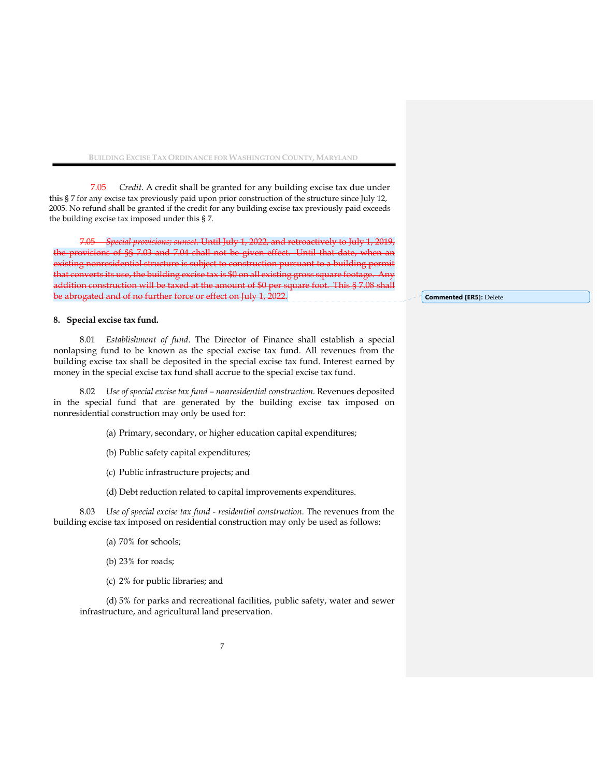7.05 *Credit*. A credit shall be granted for any building excise tax due under this § 7 for any excise tax previously paid upon prior construction of the structure since July 12, 2005. No refund shall be granted if the credit for any building excise tax previously paid exceeds the building excise tax imposed under this § 7.

7.05 *Special provisions; sunset.* Until July 1, 2022, and retroactively to July 1, 2019, the provisions of §§ 7.03 and 7.04 shall not be given effect. Until that date, when an existing nonresidential structure is subject to construction pursuant to a building permit that converts its use, the building excise tax is \$0 on all existing gross square footage. Any addition construction will be taxed at the amount of \$0 per square foot. This § 7.08 shall be abrogated and of no further force or effect on July 1, 2022.

#### **8. Special excise tax fund.**

8.01 *Establishment of fund*. The Director of Finance shall establish a special nonlapsing fund to be known as the special excise tax fund. All revenues from the building excise tax shall be deposited in the special excise tax fund. Interest earned by money in the special excise tax fund shall accrue to the special excise tax fund.

8.02 *Use of special excise tax fund – nonresidential construction.* Revenues deposited in the special fund that are generated by the building excise tax imposed on nonresidential construction may only be used for:

(a) Primary, secondary, or higher education capital expenditures;

- (b) Public safety capital expenditures;
- (c) Public infrastructure projects; and
- (d) Debt reduction related to capital improvements expenditures.

8.03 *Use of special excise tax fund - residential construction*. The revenues from the building excise tax imposed on residential construction may only be used as follows:

- (a) 70% for schools;
- (b) 23% for roads;
- (c) 2% for public libraries; and

(d) 5% for parks and recreational facilities, public safety, water and sewer infrastructure, and agricultural land preservation.

**Commented [ER5]:** Delete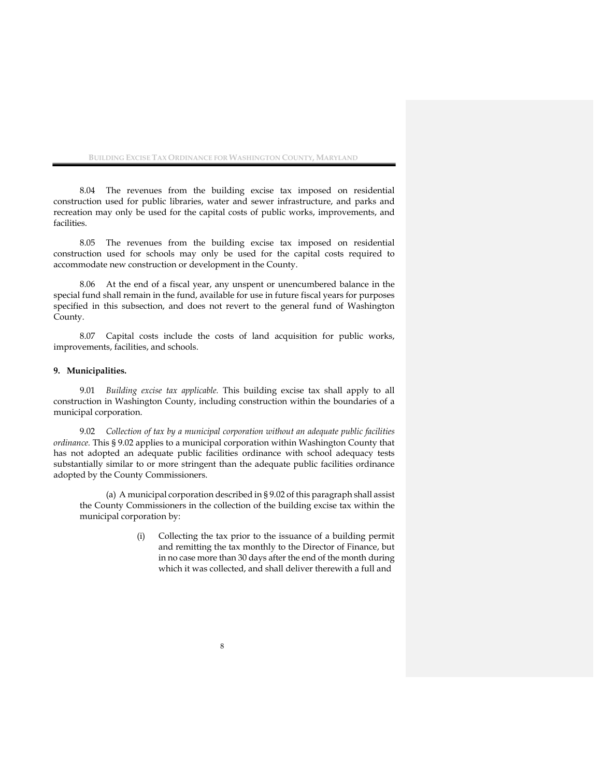8.04 The revenues from the building excise tax imposed on residential construction used for public libraries, water and sewer infrastructure, and parks and recreation may only be used for the capital costs of public works, improvements, and facilities.

8.05 The revenues from the building excise tax imposed on residential construction used for schools may only be used for the capital costs required to accommodate new construction or development in the County.

8.06 At the end of a fiscal year, any unspent or unencumbered balance in the special fund shall remain in the fund, available for use in future fiscal years for purposes specified in this subsection, and does not revert to the general fund of Washington County.

8.07 Capital costs include the costs of land acquisition for public works, improvements, facilities, and schools.

#### **9. Municipalities.**

9.01 *Building excise tax applicable.* This building excise tax shall apply to all construction in Washington County, including construction within the boundaries of a municipal corporation.

9.02 *Collection of tax by a municipal corporation without an adequate public facilities ordinance.* This § 9.02 applies to a municipal corporation within Washington County that has not adopted an adequate public facilities ordinance with school adequacy tests substantially similar to or more stringent than the adequate public facilities ordinance adopted by the County Commissioners.

(a) A municipal corporation described in § 9.02 of this paragraph shall assist the County Commissioners in the collection of the building excise tax within the municipal corporation by:

> (i) Collecting the tax prior to the issuance of a building permit and remitting the tax monthly to the Director of Finance, but in no case more than 30 days after the end of the month during which it was collected, and shall deliver therewith a full and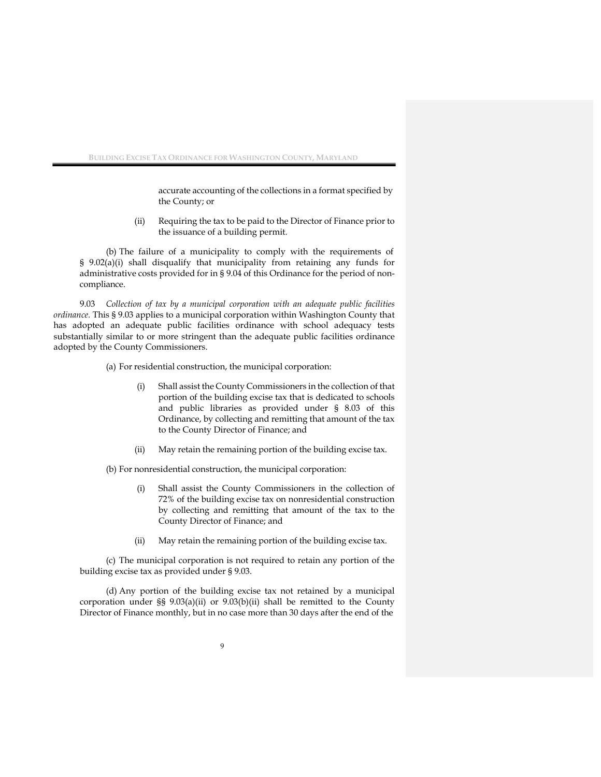accurate accounting of the collections in a format specified by the County; or

(ii) Requiring the tax to be paid to the Director of Finance prior to the issuance of a building permit.

(b) The failure of a municipality to comply with the requirements of § 9.02(a)(i) shall disqualify that municipality from retaining any funds for administrative costs provided for in § 9.04 of this Ordinance for the period of noncompliance.

9.03 *Collection of tax by a municipal corporation with an adequate public facilities ordinance.* This § 9.03 applies to a municipal corporation within Washington County that has adopted an adequate public facilities ordinance with school adequacy tests substantially similar to or more stringent than the adequate public facilities ordinance adopted by the County Commissioners.

(a) For residential construction, the municipal corporation:

- (i) Shall assist the County Commissioners in the collection of that portion of the building excise tax that is dedicated to schools and public libraries as provided under § 8.03 of this Ordinance, by collecting and remitting that amount of the tax to the County Director of Finance; and
- (ii) May retain the remaining portion of the building excise tax.

(b) For nonresidential construction, the municipal corporation:

- (i) Shall assist the County Commissioners in the collection of 72% of the building excise tax on nonresidential construction by collecting and remitting that amount of the tax to the County Director of Finance; and
- (ii) May retain the remaining portion of the building excise tax.

(c) The municipal corporation is not required to retain any portion of the building excise tax as provided under § 9.03.

(d) Any portion of the building excise tax not retained by a municipal corporation under §§ 9.03(a)(ii) or 9.03(b)(ii) shall be remitted to the County Director of Finance monthly, but in no case more than 30 days after the end of the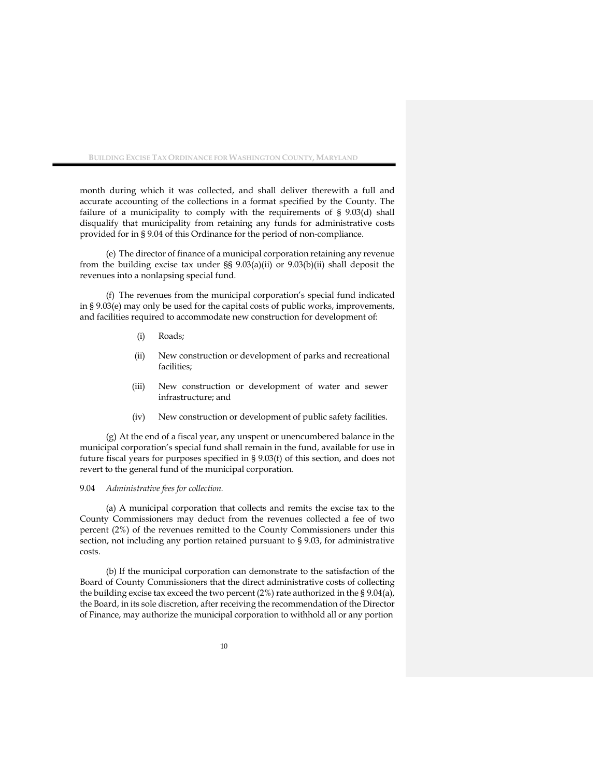month during which it was collected, and shall deliver therewith a full and accurate accounting of the collections in a format specified by the County. The failure of a municipality to comply with the requirements of § 9.03(d) shall disqualify that municipality from retaining any funds for administrative costs provided for in § 9.04 of this Ordinance for the period of non-compliance.

(e) The director of finance of a municipal corporation retaining any revenue from the building excise tax under §§ 9.03(a)(ii) or 9.03(b)(ii) shall deposit the revenues into a nonlapsing special fund.

(f) The revenues from the municipal corporation's special fund indicated in § 9.03(e) may only be used for the capital costs of public works, improvements, and facilities required to accommodate new construction for development of:

- (i) Roads;
- (ii) New construction or development of parks and recreational facilities;
- (iii) New construction or development of water and sewer infrastructure; and
- (iv) New construction or development of public safety facilities.

(g) At the end of a fiscal year, any unspent or unencumbered balance in the municipal corporation's special fund shall remain in the fund, available for use in future fiscal years for purposes specified in § 9.03(f) of this section, and does not revert to the general fund of the municipal corporation.

#### 9.04 *Administrative fees for collection.*

(a) A municipal corporation that collects and remits the excise tax to the County Commissioners may deduct from the revenues collected a fee of two percent (2%) of the revenues remitted to the County Commissioners under this section, not including any portion retained pursuant to § 9.03, for administrative costs.

(b) If the municipal corporation can demonstrate to the satisfaction of the Board of County Commissioners that the direct administrative costs of collecting the building excise tax exceed the two percent (2%) rate authorized in the § 9.04(a), the Board, in its sole discretion, after receiving the recommendation of the Director of Finance, may authorize the municipal corporation to withhold all or any portion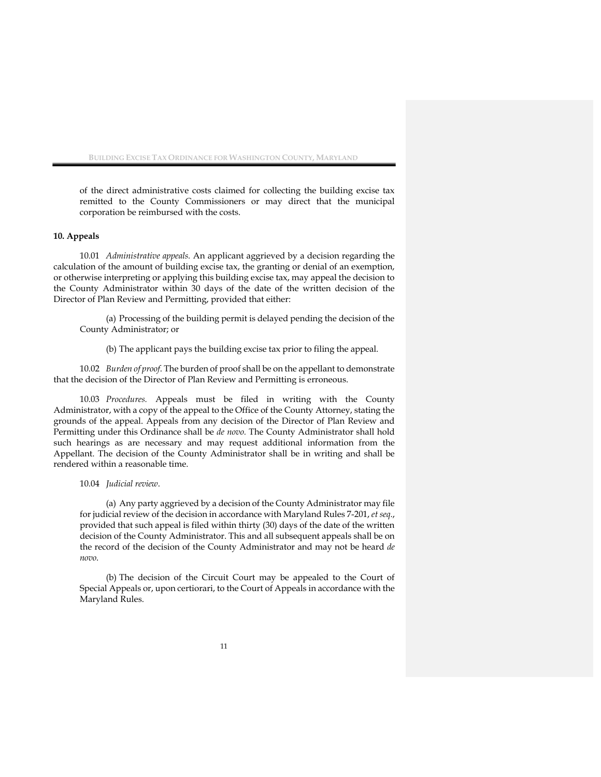of the direct administrative costs claimed for collecting the building excise tax remitted to the County Commissioners or may direct that the municipal corporation be reimbursed with the costs.

#### **10. Appeals**

10.01 *Administrative appeals.* An applicant aggrieved by a decision regarding the calculation of the amount of building excise tax, the granting or denial of an exemption, or otherwise interpreting or applying this building excise tax, may appeal the decision to the County Administrator within 30 days of the date of the written decision of the Director of Plan Review and Permitting, provided that either:

(a) Processing of the building permit is delayed pending the decision of the County Administrator; or

(b) The applicant pays the building excise tax prior to filing the appeal.

10.02 *Burden of proof*. The burden of proof shall be on the appellant to demonstrate that the decision of the Director of Plan Review and Permitting is erroneous.

10.03 *Procedures.* Appeals must be filed in writing with the County Administrator, with a copy of the appeal to the Office of the County Attorney, stating the grounds of the appeal. Appeals from any decision of the Director of Plan Review and Permitting under this Ordinance shall be *de novo.* The County Administrator shall hold such hearings as are necessary and may request additional information from the Appellant. The decision of the County Administrator shall be in writing and shall be rendered within a reasonable time.

### 10.04 *Judicial review*.

(a) Any party aggrieved by a decision of the County Administrator may file for judicial review of the decision in accordance with Maryland Rules 7-201, *et seq*., provided that such appeal is filed within thirty (30) days of the date of the written decision of the County Administrator. This and all subsequent appeals shall be on the record of the decision of the County Administrator and may not be heard *de novo*.

(b) The decision of the Circuit Court may be appealed to the Court of Special Appeals or, upon certiorari, to the Court of Appeals in accordance with the Maryland Rules.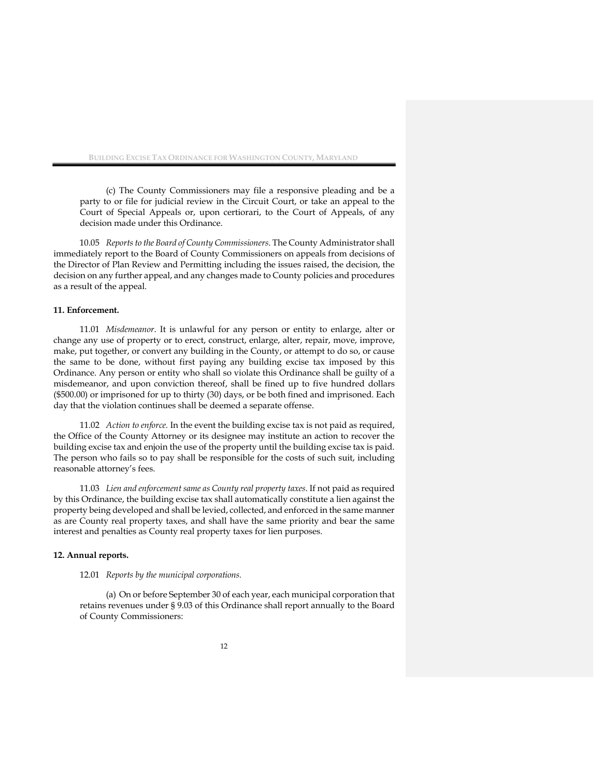(c) The County Commissioners may file a responsive pleading and be a party to or file for judicial review in the Circuit Court, or take an appeal to the Court of Special Appeals or, upon certiorari, to the Court of Appeals, of any decision made under this Ordinance.

10.05 *Reports to the Board of County Commissioners*. The County Administrator shall immediately report to the Board of County Commissioners on appeals from decisions of the Director of Plan Review and Permitting including the issues raised, the decision, the decision on any further appeal, and any changes made to County policies and procedures as a result of the appeal.

#### **11. Enforcement.**

11.01 *Misdemeanor*. It is unlawful for any person or entity to enlarge, alter or change any use of property or to erect, construct, enlarge, alter, repair, move, improve, make, put together, or convert any building in the County, or attempt to do so, or cause the same to be done, without first paying any building excise tax imposed by this Ordinance. Any person or entity who shall so violate this Ordinance shall be guilty of a misdemeanor, and upon conviction thereof, shall be fined up to five hundred dollars (\$500.00) or imprisoned for up to thirty (30) days, or be both fined and imprisoned. Each day that the violation continues shall be deemed a separate offense.

11.02 *Action to enforce.* In the event the building excise tax is not paid as required, the Office of the County Attorney or its designee may institute an action to recover the building excise tax and enjoin the use of the property until the building excise tax is paid. The person who fails so to pay shall be responsible for the costs of such suit, including reasonable attorney's fees.

11.03 *Lien and enforcement same as County real property taxes*. If not paid as required by this Ordinance, the building excise tax shall automatically constitute a lien against the property being developed and shall be levied, collected, and enforced in the same manner as are County real property taxes, and shall have the same priority and bear the same interest and penalties as County real property taxes for lien purposes.

#### **12. Annual reports.**

#### 12.01 *Reports by the municipal corporations.*

(a) On or before September 30 of each year, each municipal corporation that retains revenues under § 9.03 of this Ordinance shall report annually to the Board of County Commissioners: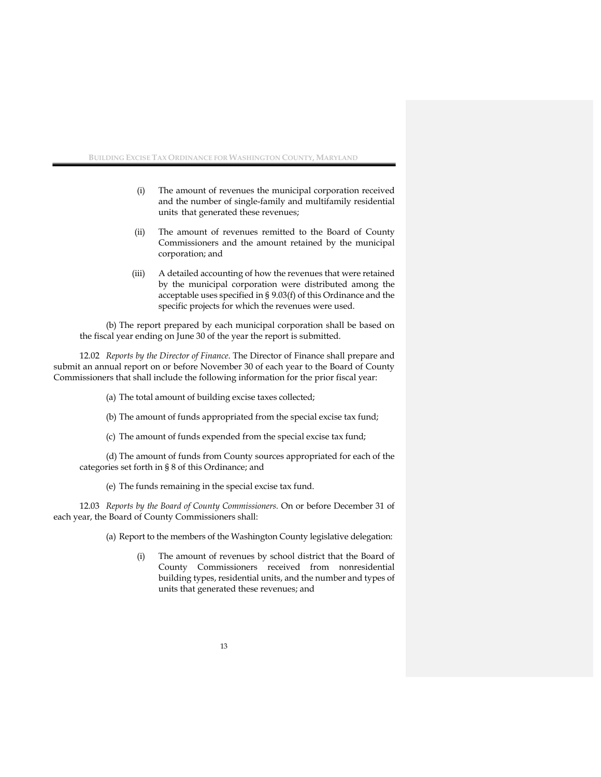- (i) The amount of revenues the municipal corporation received and the number of single-family and multifamily residential units that generated these revenues;
- (ii) The amount of revenues remitted to the Board of County Commissioners and the amount retained by the municipal corporation; and
- (iii) A detailed accounting of how the revenues that were retained by the municipal corporation were distributed among the acceptable uses specified in § 9.03(f) of this Ordinance and the specific projects for which the revenues were used.

(b) The report prepared by each municipal corporation shall be based on the fiscal year ending on June 30 of the year the report is submitted.

12.02 *Reports by the Director of Finance*. The Director of Finance shall prepare and submit an annual report on or before November 30 of each year to the Board of County Commissioners that shall include the following information for the prior fiscal year:

(a) The total amount of building excise taxes collected;

(b) The amount of funds appropriated from the special excise tax fund;

(c) The amount of funds expended from the special excise tax fund;

(d) The amount of funds from County sources appropriated for each of the categories set forth in § 8 of this Ordinance; and

(e) The funds remaining in the special excise tax fund.

12.03 *Reports by the Board of County Commissioners.* On or before December 31 of each year, the Board of County Commissioners shall:

(a) Report to the members of the Washington County legislative delegation:

(i) The amount of revenues by school district that the Board of County Commissioners received from nonresidential building types, residential units, and the number and types of units that generated these revenues; and